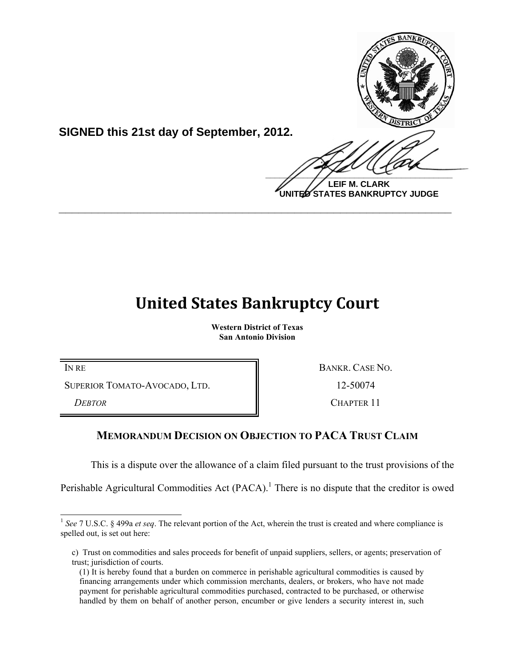

**SIGNED this 21st day of September, 2012.**

 $\frac{1}{2}$ **LEIF M. CLARK UNITED STATES BANKRUPTCY JUDGE**

## **United States Bankruptcy Court**

**\_\_\_\_\_\_\_\_\_\_\_\_\_\_\_\_\_\_\_\_\_\_\_\_\_\_\_\_\_\_\_\_\_\_\_\_\_\_\_\_\_\_\_\_\_\_\_\_\_\_\_\_\_\_\_\_\_\_\_\_**

**Western District of Texas San Antonio Division**

SUPERIOR TOMATO-AVOCADO, LTD. 12-50074

**DEBTOR** CHAPTER 11

IN RE BANKR. CASE NO.

## **MEMORANDUM DECISION ON OBJECTION TO PACA TRUST CLAIM**

This is a dispute over the allowance of a claim filed pursuant to the trust provisions of the

Perishable Agricultural Commodities Act  $(PACA)$ .<sup>1</sup> There is no dispute that the creditor is owed

<sup>&</sup>lt;sup>1</sup> See 7 U.S.C. § 499a *et seq*. The relevant portion of the Act, wherein the trust is created and where compliance is spelled out, is set out here:

c) Trust on commodities and sales proceeds for benefit of unpaid suppliers, sellers, or agents; preservation of trust; jurisdiction of courts.

<sup>(1)</sup> It is hereby found that a burden on commerce in perishable agricultural commodities is caused by financing arrangements under which commission merchants, dealers, or brokers, who have not made payment for perishable agricultural commodities purchased, contracted to be purchased, or otherwise handled by them on behalf of another person, encumber or give lenders a security interest in, such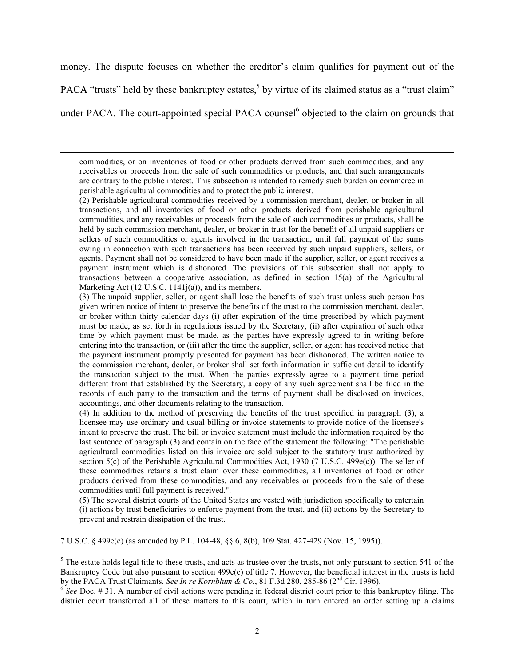money. The dispute focuses on whether the creditor's claim qualifies for payment out of the PACA "trusts" held by these bankruptcy estates,<sup>5</sup> by virtue of its claimed status as a "trust claim" under PACA. The court-appointed special PACA counsel<sup>6</sup> objected to the claim on grounds that

commodities, or on inventories of food or other products derived from such commodities, and any receivables or proceeds from the sale of such commodities or products, and that such arrangements are contrary to the public interest. This subsection is intended to remedy such burden on commerce in perishable agricultural commodities and to protect the public interest.

 $\overline{a}$ 

(2) Perishable agricultural commodities received by a commission merchant, dealer, or broker in all transactions, and all inventories of food or other products derived from perishable agricultural commodities, and any receivables or proceeds from the sale of such commodities or products, shall be held by such commission merchant, dealer, or broker in trust for the benefit of all unpaid suppliers or sellers of such commodities or agents involved in the transaction, until full payment of the sums owing in connection with such transactions has been received by such unpaid suppliers, sellers, or agents. Payment shall not be considered to have been made if the supplier, seller, or agent receives a payment instrument which is dishonored. The provisions of this subsection shall not apply to transactions between a cooperative association, as defined in section 15(a) of the Agricultural Marketing Act (12 U.S.C. 1141j(a)), and its members.

(3) The unpaid supplier, seller, or agent shall lose the benefits of such trust unless such person has given written notice of intent to preserve the benefits of the trust to the commission merchant, dealer, or broker within thirty calendar days (i) after expiration of the time prescribed by which payment must be made, as set forth in regulations issued by the Secretary, (ii) after expiration of such other time by which payment must be made, as the parties have expressly agreed to in writing before entering into the transaction, or (iii) after the time the supplier, seller, or agent has received notice that the payment instrument promptly presented for payment has been dishonored. The written notice to the commission merchant, dealer, or broker shall set forth information in sufficient detail to identify the transaction subject to the trust. When the parties expressly agree to a payment time period different from that established by the Secretary, a copy of any such agreement shall be filed in the records of each party to the transaction and the terms of payment shall be disclosed on invoices, accountings, and other documents relating to the transaction.

(4) In addition to the method of preserving the benefits of the trust specified in paragraph (3), a licensee may use ordinary and usual billing or invoice statements to provide notice of the licensee's intent to preserve the trust. The bill or invoice statement must include the information required by the last sentence of paragraph (3) and contain on the face of the statement the following: "The perishable agricultural commodities listed on this invoice are sold subject to the statutory trust authorized by section 5(c) of the Perishable Agricultural Commodities Act, 1930 (7 U.S.C. 499e(c)). The seller of these commodities retains a trust claim over these commodities, all inventories of food or other products derived from these commodities, and any receivables or proceeds from the sale of these commodities until full payment is received.".

(5) The several district courts of the United States are vested with jurisdiction specifically to entertain (i) actions by trust beneficiaries to enforce payment from the trust, and (ii) actions by the Secretary to prevent and restrain dissipation of the trust.

7 U.S.C. § 499e(c) (as amended by P.L. 104-48, §§ 6, 8(b), 109 Stat. 427-429 (Nov. 15, 1995)).

 $5$  The estate holds legal title to these trusts, and acts as trustee over the trusts, not only pursuant to section 541 of the Bankruptcy Code but also pursuant to section 499e(c) of title 7. However, the beneficial interest in the trusts is held<br>by the PACA Trust Claimants. See In re Kornblum & Co., 81 F.3d 280, 285-86 (2<sup>nd</sup> Cir. 1996).

 $6$  See Doc. # 31. A number of civil actions were pending in federal district court prior to this bankruptcy filing. The district court transferred all of these matters to this court, which in turn entered an order setting up a claims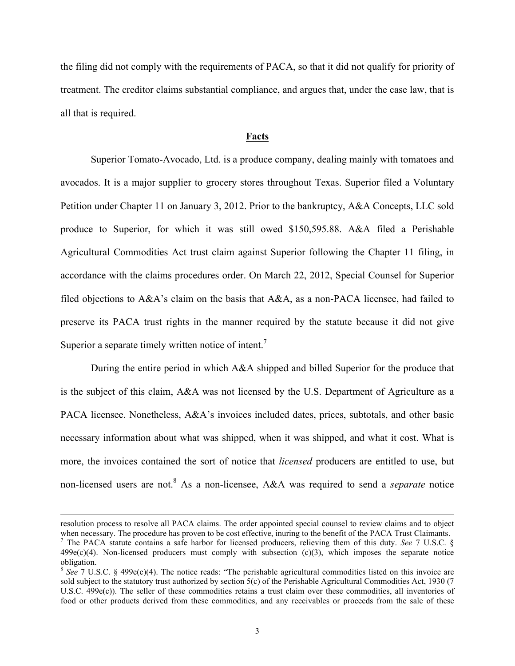the filing did not comply with the requirements of PACA, so that it did not qualify for priority of treatment. The creditor claims substantial compliance, and argues that, under the case law, that is all that is required.

## **Facts**

Superior Tomato-Avocado, Ltd. is a produce company, dealing mainly with tomatoes and avocados. It is a major supplier to grocery stores throughout Texas. Superior filed a Voluntary Petition under Chapter 11 on January 3, 2012. Prior to the bankruptcy, A&A Concepts, LLC sold produce to Superior, for which it was still owed \$150,595.88. A&A filed a Perishable Agricultural Commodities Act trust claim against Superior following the Chapter 11 filing, in accordance with the claims procedures order. On March 22, 2012, Special Counsel for Superior filed objections to  $A&A$ 's claim on the basis that  $A&A$ , as a non-PACA licensee, had failed to preserve its PACA trust rights in the manner required by the statute because it did not give Superior a separate timely written notice of intent.<sup>7</sup>

During the entire period in which A&A shipped and billed Superior for the produce that is the subject of this claim, A&A was not licensed by the U.S. Department of Agriculture as a PACA licensee. Nonetheless, A&A's invoices included dates, prices, subtotals, and other basic necessary information about what was shipped, when it was shipped, and what it cost. What is more, the invoices contained the sort of notice that *licensed* producers are entitled to use, but non-licensed users are not.8 As a non-licensee, A&A was required to send a *separate* notice

 $\overline{a}$ 

resolution process to resolve all PACA claims. The order appointed special counsel to review claims and to object when necessary. The procedure has proven to be cost effective, inuring to the benefit of the PACA Trust Claimants.

<sup>7</sup> The PACA statute contains a safe harbor for licensed producers, relieving them of this duty. *See* 7 U.S.C. §  $499e(c)(4)$ . Non-licensed producers must comply with subsection (c)(3), which imposes the separate notice obligation.

 $8$  *See* 7 U.S.C. § 499e(c)(4). The notice reads: "The perishable agricultural commodities listed on this invoice are sold subject to the statutory trust authorized by section 5(c) of the Perishable Agricultural Commodities Act, 1930 (7 U.S.C. 499e(c)). The seller of these commodities retains a trust claim over these commodities, all inventories of food or other products derived from these commodities, and any receivables or proceeds from the sale of these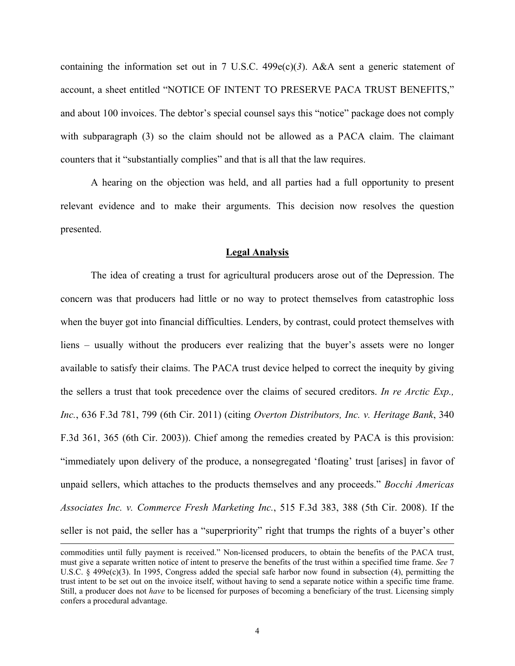containing the information set out in 7 U.S.C.  $499e(c)(3)$ . A&A sent a generic statement of account, a sheet entitled "NOTICE OF INTENT TO PRESERVE PACA TRUST BENEFITS," and about 100 invoices. The debtor's special counsel says this "notice" package does not comply with subparagraph (3) so the claim should not be allowed as a PACA claim. The claimant counters that it "substantially complies" and that is all that the law requires.

A hearing on the objection was held, and all parties had a full opportunity to present relevant evidence and to make their arguments. This decision now resolves the question presented.

## **Legal Analysis**

The idea of creating a trust for agricultural producers arose out of the Depression. The concern was that producers had little or no way to protect themselves from catastrophic loss when the buyer got into financial difficulties. Lenders, by contrast, could protect themselves with liens – usually without the producers ever realizing that the buyer's assets were no longer available to satisfy their claims. The PACA trust device helped to correct the inequity by giving the sellers a trust that took precedence over the claims of secured creditors. *In re Arctic Exp., Inc.*, 636 F.3d 781, 799 (6th Cir. 2011) (citing *Overton Distributors, Inc. v. Heritage Bank*, 340 F.3d 361, 365 (6th Cir. 2003)). Chief among the remedies created by PACA is this provision: "immediately upon delivery of the produce, a nonsegregated 'floating' trust [arises] in favor of unpaid sellers, which attaches to the products themselves and any proceeds." *Bocchi Americas Associates Inc. v. Commerce Fresh Marketing Inc.*, 515 F.3d 383, 388 (5th Cir. 2008). If the seller is not paid, the seller has a "superpriority" right that trumps the rights of a buyer's other

 $\overline{a}$ 

commodities until fully payment is received." Non-licensed producers, to obtain the benefits of the PACA trust, must give a separate written notice of intent to preserve the benefits of the trust within a specified time frame. *See* 7 U.S.C. § 499e(c)(3). In 1995, Congress added the special safe harbor now found in subsection (4), permitting the trust intent to be set out on the invoice itself, without having to send a separate notice within a specific time frame. Still, a producer does not *have* to be licensed for purposes of becoming a beneficiary of the trust. Licensing simply confers a procedural advantage.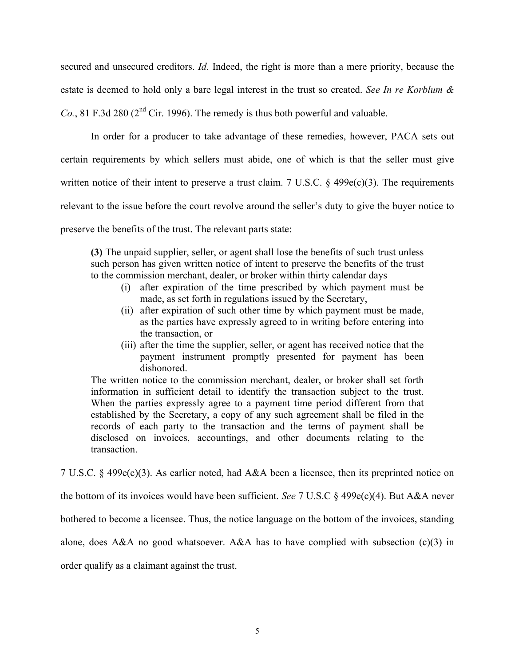secured and unsecured creditors. *Id*. Indeed, the right is more than a mere priority, because the estate is deemed to hold only a bare legal interest in the trust so created. *See In re Korblum & Co.*, 81 F.3d 280 ( $2<sup>nd</sup>$  Cir. 1996). The remedy is thus both powerful and valuable.

In order for a producer to take advantage of these remedies, however, PACA sets out certain requirements by which sellers must abide, one of which is that the seller must give written notice of their intent to preserve a trust claim. 7 U.S.C. § 499e(c)(3). The requirements relevant to the issue before the court revolve around the seller's duty to give the buyer notice to preserve the benefits of the trust. The relevant parts state:

**(3)** The unpaid supplier, seller, or agent shall lose the benefits of such trust unless such person has given written notice of intent to preserve the benefits of the trust to the commission merchant, dealer, or broker within thirty calendar days

- (i) after expiration of the time prescribed by which payment must be made, as set forth in regulations issued by the Secretary,
- (ii) after expiration of such other time by which payment must be made, as the parties have expressly agreed to in writing before entering into the transaction, or
- (iii) after the time the supplier, seller, or agent has received notice that the payment instrument promptly presented for payment has been dishonored.

The written notice to the commission merchant, dealer, or broker shall set forth information in sufficient detail to identify the transaction subject to the trust. When the parties expressly agree to a payment time period different from that established by the Secretary, a copy of any such agreement shall be filed in the records of each party to the transaction and the terms of payment shall be disclosed on invoices, accountings, and other documents relating to the transaction.

7 U.S.C. § 499e(c)(3). As earlier noted, had A&A been a licensee, then its preprinted notice on

the bottom of its invoices would have been sufficient. *See* 7 U.S.C § 499e(c)(4). But A&A never

bothered to become a licensee. Thus, the notice language on the bottom of the invoices, standing

alone, does A&A no good whatsoever. A&A has to have complied with subsection (c)(3) in

order qualify as a claimant against the trust.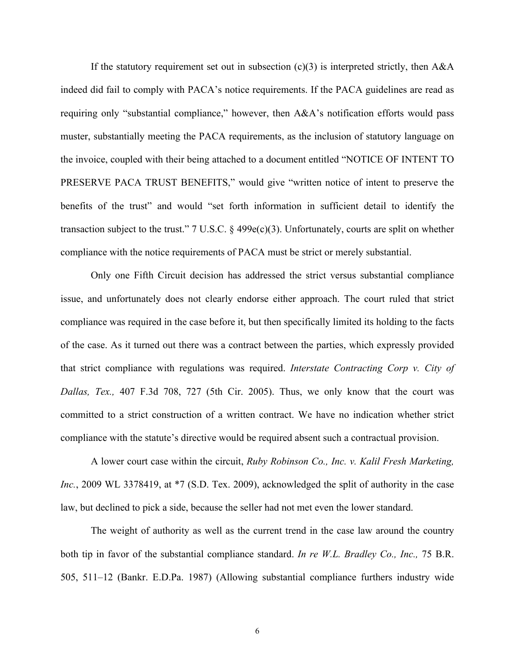If the statutory requirement set out in subsection  $(c)(3)$  is interpreted strictly, then A&A indeed did fail to comply with PACA's notice requirements. If the PACA guidelines are read as requiring only "substantial compliance," however, then A&A's notification efforts would pass muster, substantially meeting the PACA requirements, as the inclusion of statutory language on the invoice, coupled with their being attached to a document entitled "NOTICE OF INTENT TO PRESERVE PACA TRUST BENEFITS," would give "written notice of intent to preserve the benefits of the trust" and would "set forth information in sufficient detail to identify the transaction subject to the trust." 7 U.S.C. § 499e(c)(3). Unfortunately, courts are split on whether compliance with the notice requirements of PACA must be strict or merely substantial.

Only one Fifth Circuit decision has addressed the strict versus substantial compliance issue, and unfortunately does not clearly endorse either approach. The court ruled that strict compliance was required in the case before it, but then specifically limited its holding to the facts of the case. As it turned out there was a contract between the parties, which expressly provided that strict compliance with regulations was required. *Interstate Contracting Corp v. City of Dallas, Tex.,* 407 F.3d 708, 727 (5th Cir. 2005). Thus, we only know that the court was committed to a strict construction of a written contract. We have no indication whether strict compliance with the statute's directive would be required absent such a contractual provision.

A lower court case within the circuit, *Ruby Robinson Co., Inc. v. Kalil Fresh Marketing, Inc.*, 2009 WL 3378419, at \*7 (S.D. Tex. 2009), acknowledged the split of authority in the case law, but declined to pick a side, because the seller had not met even the lower standard.

The weight of authority as well as the current trend in the case law around the country both tip in favor of the substantial compliance standard. *In re W.L. Bradley Co., Inc.,* 75 B.R. 505, 511–12 (Bankr. E.D.Pa. 1987) (Allowing substantial compliance furthers industry wide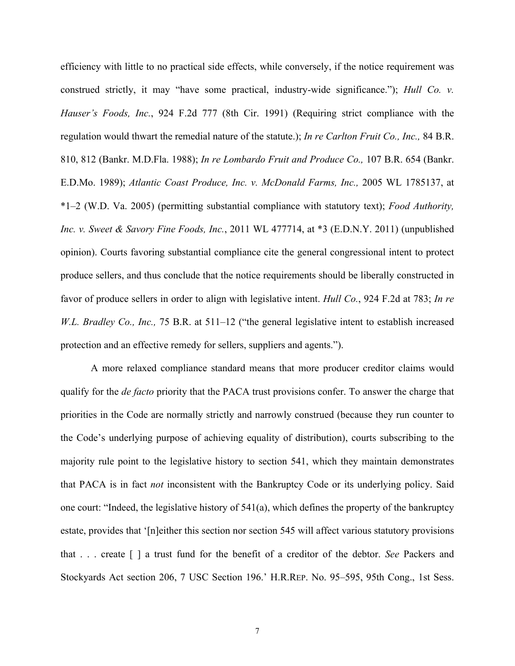efficiency with little to no practical side effects, while conversely, if the notice requirement was construed strictly, it may "have some practical, industry-wide significance."); *Hull Co. v. Hauser's Foods, Inc.*, 924 F.2d 777 (8th Cir. 1991) (Requiring strict compliance with the regulation would thwart the remedial nature of the statute.); *In re Carlton Fruit Co., Inc.,* 84 B.R. 810, 812 (Bankr. M.D.Fla. 1988); *In re Lombardo Fruit and Produce Co.,* 107 B.R. 654 (Bankr. E.D.Mo. 1989); *Atlantic Coast Produce, Inc. v. McDonald Farms, Inc.,* 2005 WL 1785137, at \*1–2 (W.D. Va. 2005) (permitting substantial compliance with statutory text); *Food Authority, Inc. v. Sweet & Savory Fine Foods, Inc.*, 2011 WL 477714, at \*3 (E.D.N.Y. 2011) (unpublished opinion). Courts favoring substantial compliance cite the general congressional intent to protect produce sellers, and thus conclude that the notice requirements should be liberally constructed in favor of produce sellers in order to align with legislative intent. *Hull Co.*, 924 F.2d at 783; *In re W.L. Bradley Co., Inc.,* 75 B.R. at 511–12 ("the general legislative intent to establish increased protection and an effective remedy for sellers, suppliers and agents.").

A more relaxed compliance standard means that more producer creditor claims would qualify for the *de facto* priority that the PACA trust provisions confer. To answer the charge that priorities in the Code are normally strictly and narrowly construed (because they run counter to the Code's underlying purpose of achieving equality of distribution), courts subscribing to the majority rule point to the legislative history to section 541, which they maintain demonstrates that PACA is in fact *not* inconsistent with the Bankruptcy Code or its underlying policy. Said one court: "Indeed, the legislative history of 541(a), which defines the property of the bankruptcy estate, provides that '[n]either this section nor section 545 will affect various statutory provisions that . . . create [ ] a trust fund for the benefit of a creditor of the debtor. *See* Packers and Stockyards Act section 206, 7 USC Section 196.' H.R.REP. No. 95–595, 95th Cong., 1st Sess.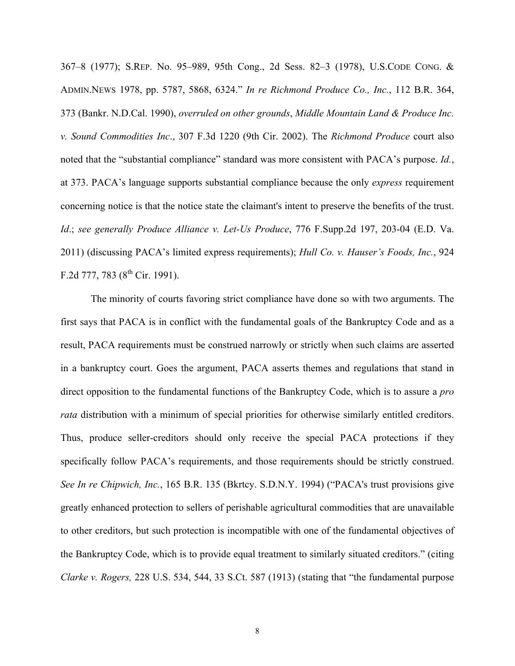367–8 (1977); S.REP. No. 95–989, 95th Cong., 2d Sess. 82–3 (1978), U.S.CODE CONG. & ADMIN.NEWS 1978, pp. 5787, 5868, 6324." *In re Richmond Produce Co., Inc.*, 112 B.R. 364, 373 (Bankr. N.D.Cal. 1990), *overruled on other grounds*, *Middle Mountain Land & Produce Inc. v. Sound Commodities Inc*., 307 F.3d 1220 (9th Cir. 2002). The *Richmond Produce* court also noted that the "substantial compliance" standard was more consistent with PACA's purpose. *Id.*, at 373. PACA's language supports substantial compliance because the only *express* requirement concerning notice is that the notice state the claimant's intent to preserve the benefits of the trust. *Id*.; *see generally Produce Alliance v. Let-Us Produce*, 776 F.Supp.2d 197, 203-04 (E.D. Va. 2011) (discussing PACA's limited express requirements); *Hull Co. v. Hauser's Foods, Inc.*, 924 F.2d 777, 783 ( $8^{th}$  Cir. 1991).

The minority of courts favoring strict compliance have done so with two arguments. The first says that PACA is in conflict with the fundamental goals of the Bankruptcy Code and as a result, PACA requirements must be construed narrowly or strictly when such claims are asserted in a bankruptcy court. Goes the argument, PACA asserts themes and regulations that stand in direct opposition to the fundamental functions of the Bankruptcy Code, which is to assure a *pro rata* distribution with a minimum of special priorities for otherwise similarly entitled creditors. Thus, produce seller-creditors should only receive the special PACA protections if they specifically follow PACA's requirements, and those requirements should be strictly construed. *See In re Chipwich, Inc.*, 165 B.R. 135 (Bkrtcy. S.D.N.Y. 1994) ("PACA's trust provisions give greatly enhanced protection to sellers of perishable agricultural commodities that are unavailable to other creditors, but such protection is incompatible with one of the fundamental objectives of the Bankruptcy Code, which is to provide equal treatment to similarly situated creditors." (citing *Clarke v. Rogers,* 228 U.S. 534, 544, 33 S.Ct. 587 (1913) (stating that "the fundamental purpose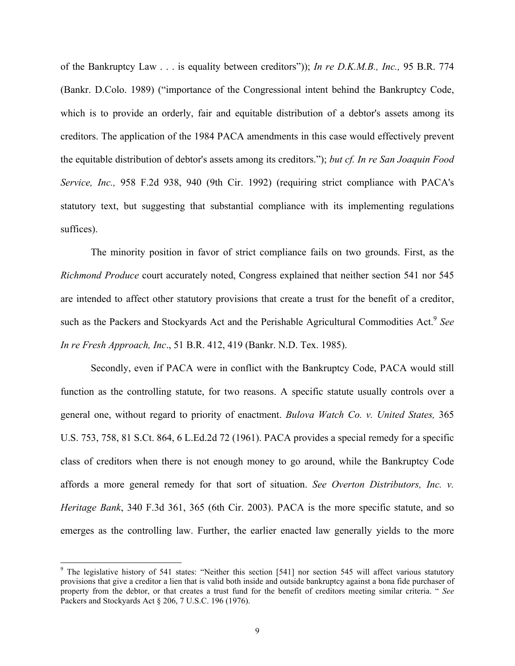of the Bankruptcy Law . . . is equality between creditors")); *In re D.K.M.B., Inc.,* 95 B.R. 774 (Bankr. D.Colo. 1989) ("importance of the Congressional intent behind the Bankruptcy Code, which is to provide an orderly, fair and equitable distribution of a debtor's assets among its creditors. The application of the 1984 PACA amendments in this case would effectively prevent the equitable distribution of debtor's assets among its creditors."); *but cf. In re San Joaquin Food Service, Inc.,* 958 F.2d 938, 940 (9th Cir. 1992) (requiring strict compliance with PACA's statutory text, but suggesting that substantial compliance with its implementing regulations suffices).

The minority position in favor of strict compliance fails on two grounds. First, as the *Richmond Produce* court accurately noted, Congress explained that neither section 541 nor 545 are intended to affect other statutory provisions that create a trust for the benefit of a creditor, such as the Packers and Stockyards Act and the Perishable Agricultural Commodities Act. <sup>9</sup> *See In re Fresh Approach, Inc*., 51 B.R. 412, 419 (Bankr. N.D. Tex. 1985).

Secondly, even if PACA were in conflict with the Bankruptcy Code, PACA would still function as the controlling statute, for two reasons. A specific statute usually controls over a general one, without regard to priority of enactment. *Bulova Watch Co. v. United States,* 365 U.S. 753, 758, 81 S.Ct. 864, 6 L.Ed.2d 72 (1961). PACA provides a special remedy for a specific class of creditors when there is not enough money to go around, while the Bankruptcy Code affords a more general remedy for that sort of situation. *See Overton Distributors, Inc. v. Heritage Bank*, 340 F.3d 361, 365 (6th Cir. 2003). PACA is the more specific statute, and so emerges as the controlling law. Further, the earlier enacted law generally yields to the more

<sup>9</sup>  $9$  The legislative history of 541 states: "Neither this section [541] nor section 545 will affect various statutory provisions that give a creditor a lien that is valid both inside and outside bankruptcy against a bona fide purchaser of property from the debtor, or that creates a trust fund for the benefit of creditors meeting similar criteria. " *See* Packers and Stockyards Act § 206, 7 U.S.C. 196 (1976).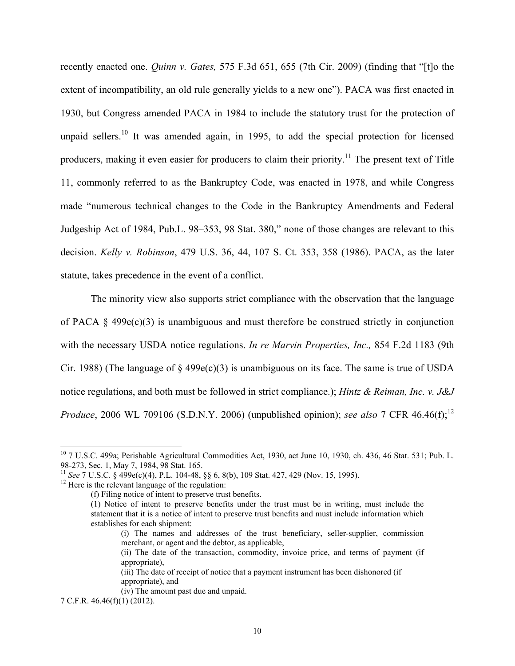recently enacted one. *Quinn v. Gates,* 575 F.3d 651, 655 (7th Cir. 2009) (finding that "[t]o the extent of incompatibility, an old rule generally yields to a new one"). PACA was first enacted in 1930, but Congress amended PACA in 1984 to include the statutory trust for the protection of unpaid sellers.<sup>10</sup> It was amended again, in 1995, to add the special protection for licensed producers, making it even easier for producers to claim their priority.<sup>11</sup> The present text of Title 11, commonly referred to as the Bankruptcy Code, was enacted in 1978, and while Congress made "numerous technical changes to the Code in the Bankruptcy Amendments and Federal Judgeship Act of 1984, Pub.L. 98–353, 98 Stat. 380," none of those changes are relevant to this decision. *Kelly v. Robinson*, 479 U.S. 36, 44, 107 S. Ct. 353, 358 (1986). PACA, as the later statute, takes precedence in the event of a conflict.

The minority view also supports strict compliance with the observation that the language of PACA  $\S$  499 $e(c)(3)$  is unambiguous and must therefore be construed strictly in conjunction with the necessary USDA notice regulations. *In re Marvin Properties, Inc.,* 854 F.2d 1183 (9th Cir. 1988) (The language of  $\S$  499e(c)(3) is unambiguous on its face. The same is true of USDA notice regulations, and both must be followed in strict compliance.); *Hintz & Reiman, Inc. v. J&J Produce*, 2006 WL 709106 (S.D.N.Y. 2006) (unpublished opinion); *see also* 7 CFR 46.46(f);<sup>12</sup>

(i) The names and addresses of the trust beneficiary, seller-supplier, commission merchant, or agent and the debtor, as applicable,

(iv) The amount past due and unpaid.

 $10$  7 U.S.C. 499a; Perishable Agricultural Commodities Act, 1930, act June 10, 1930, ch. 436, 46 Stat. 531; Pub. L. 98-273, Sec. 1, May 7, 1984, 98 Stat. 165.

<sup>&</sup>lt;sup>11</sup> *See* 7 U.S.C. § 499e(c)(4), P.L. 104-48, §§ 6, 8(b), 109 Stat. 427, 429 (Nov. 15, 1995). <sup>12</sup> Here is the relevant language of the regulation:

<sup>(</sup>f) Filing notice of intent to preserve trust benefits.

<sup>(1)</sup> Notice of intent to preserve benefits under the trust must be in writing, must include the statement that it is a notice of intent to preserve trust benefits and must include information which establishes for each shipment:

<sup>(</sup>ii) The date of the transaction, commodity, invoice price, and terms of payment (if appropriate),

<sup>(</sup>iii) The date of receipt of notice that a payment instrument has been dishonored (if appropriate), and

<sup>7</sup> C.F.R. 46.46(f)(1) (2012).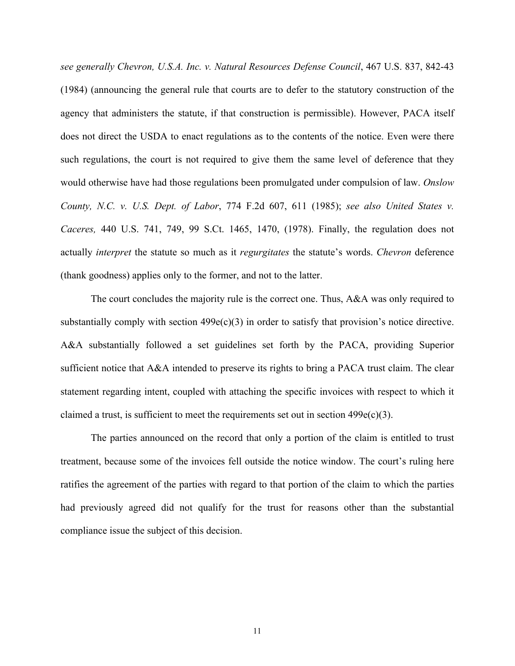*see generally Chevron, U.S.A. Inc. v. Natural Resources Defense Council*, 467 U.S. 837, 842-43 (1984) (announcing the general rule that courts are to defer to the statutory construction of the agency that administers the statute, if that construction is permissible). However, PACA itself does not direct the USDA to enact regulations as to the contents of the notice. Even were there such regulations, the court is not required to give them the same level of deference that they would otherwise have had those regulations been promulgated under compulsion of law. *Onslow County, N.C. v. U.S. Dept. of Labor*, 774 F.2d 607, 611 (1985); *see also United States v. Caceres,* 440 U.S. 741, 749, 99 S.Ct. 1465, 1470, (1978). Finally, the regulation does not actually *interpret* the statute so much as it *regurgitates* the statute's words. *Chevron* deference (thank goodness) applies only to the former, and not to the latter.

The court concludes the majority rule is the correct one. Thus, A&A was only required to substantially comply with section  $499e(c)(3)$  in order to satisfy that provision's notice directive. A&A substantially followed a set guidelines set forth by the PACA, providing Superior sufficient notice that A&A intended to preserve its rights to bring a PACA trust claim. The clear statement regarding intent, coupled with attaching the specific invoices with respect to which it claimed a trust, is sufficient to meet the requirements set out in section  $499e(c)(3)$ .

The parties announced on the record that only a portion of the claim is entitled to trust treatment, because some of the invoices fell outside the notice window. The court's ruling here ratifies the agreement of the parties with regard to that portion of the claim to which the parties had previously agreed did not qualify for the trust for reasons other than the substantial compliance issue the subject of this decision.